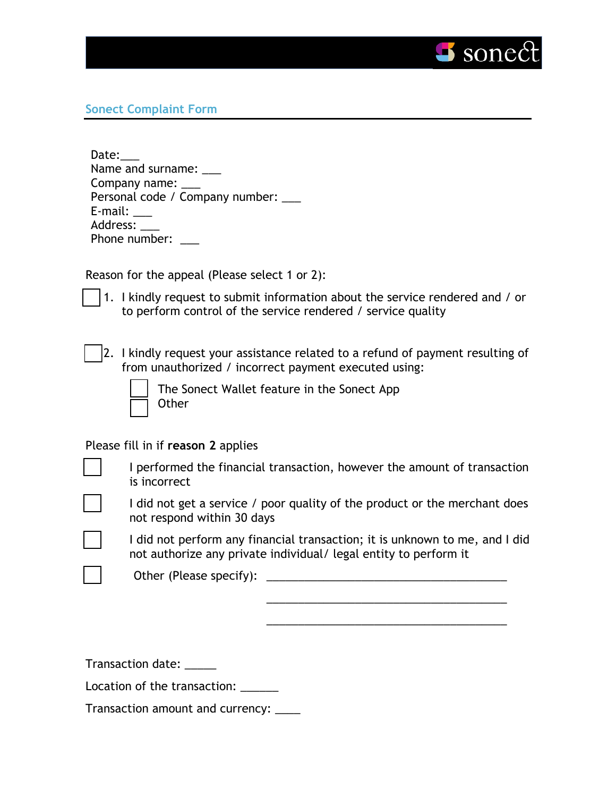

## **Sonect Complaint Form**

| Personal code / Company number: ___ |
|-------------------------------------|
|                                     |
|                                     |
|                                     |
|                                     |

Reason for the appeal (Please select 1 or 2):

- 1. I kindly request to submit information about the service rendered and / or to perform control of the service rendered / service quality
- 2. I kindly request your assistance related to a refund of payment resulting of from unauthorized / incorrect payment executed using:

| -- |  |
|----|--|
|    |  |

The Sonect Wallet feature in the Sonect App **Other** 

Please fill in if **reason 2** applies

I performed the financial transaction, however the amount of transaction is incorrect



I did not get a service / poor quality of the product or the merchant does not respond within 30 days

I did not perform any financial transaction; it is unknown to me, and I did not authorize any private individual/ legal entity to perform it

\_\_\_\_\_\_\_\_\_\_\_\_\_\_\_\_\_\_\_\_\_\_\_\_\_\_\_\_\_\_\_\_\_\_\_\_\_\_

\_\_\_\_\_\_\_\_\_\_\_\_\_\_\_\_\_\_\_\_\_\_\_\_\_\_\_\_\_\_\_\_\_\_\_\_\_\_

Other (Please specify): \_\_\_\_\_\_\_\_\_\_\_\_\_\_\_\_\_\_\_\_\_\_\_\_\_\_\_\_\_\_\_\_\_\_\_\_\_\_

Transaction date: \_\_\_\_\_

Location of the transaction:

Transaction amount and currency: \_\_\_\_